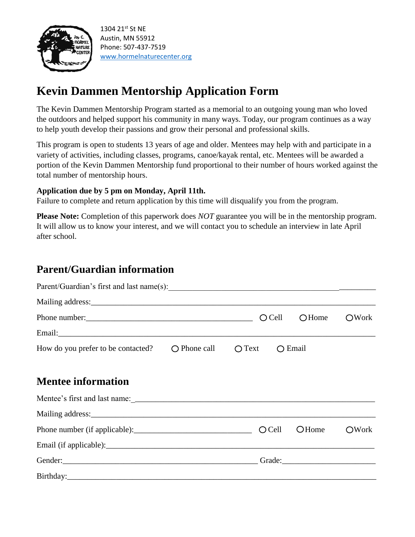

1304 21st St NE Austin, MN 55912 Phone: 507-437-7519 [www.hormelnaturecenter.org](http://www.hormelnaturecenter.org/)

# **Kevin Dammen Mentorship Application Form**

The Kevin Dammen Mentorship Program started as a memorial to an outgoing young man who loved the outdoors and helped support his community in many ways. Today, our program continues as a way to help youth develop their passions and grow their personal and professional skills.

This program is open to students 13 years of age and older. Mentees may help with and participate in a variety of activities, including classes, programs, canoe/kayak rental, etc. Mentees will be awarded a portion of the Kevin Dammen Mentorship fund proportional to their number of hours worked against the total number of mentorship hours.

### **Application due by 5 pm on Monday, April 11th.**

Failure to complete and return application by this time will disqualify you from the program.

**Please Note:** Completion of this paperwork does *NOT* guarantee you will be in the mentorship program. It will allow us to know your interest, and we will contact you to schedule an interview in late April after school.

### **Parent/Guardian information**

| Mailing address: National Communication of the contract of the contract of the contract of the contract of the contract of the contract of the contract of the contract of the contract of the contract of the contract of the |                                                        |  |          |               |       |
|--------------------------------------------------------------------------------------------------------------------------------------------------------------------------------------------------------------------------------|--------------------------------------------------------|--|----------|---------------|-------|
|                                                                                                                                                                                                                                |                                                        |  | $O$ Cell | $O$ Home      | OWork |
|                                                                                                                                                                                                                                |                                                        |  |          |               |       |
| How do you prefer to be contacted?                                                                                                                                                                                             | $\bigcirc$ Phone call $\bigcirc$ Text $\bigcirc$ Email |  |          |               |       |
|                                                                                                                                                                                                                                |                                                        |  |          |               |       |
| <b>Mentee information</b>                                                                                                                                                                                                      |                                                        |  |          |               |       |
|                                                                                                                                                                                                                                |                                                        |  |          |               |       |
|                                                                                                                                                                                                                                |                                                        |  |          |               |       |
|                                                                                                                                                                                                                                |                                                        |  |          | <b>O</b> Home | OWork |
|                                                                                                                                                                                                                                |                                                        |  |          |               |       |
|                                                                                                                                                                                                                                |                                                        |  |          |               |       |
|                                                                                                                                                                                                                                |                                                        |  |          |               |       |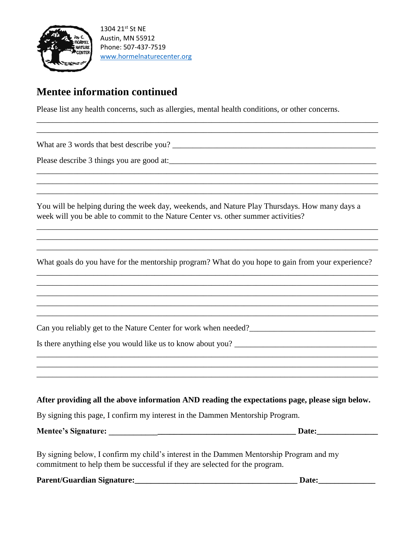

1304 21st St NE Austin, MN 55912 Phone: 507-437-7519 [www.hormelnaturecenter.org](http://www.hormelnaturecenter.org/)

### **Mentee information continued**

Please list any health concerns, such as allergies, mental health conditions, or other concerns.

\_\_\_\_\_\_\_\_\_\_\_\_\_\_\_\_\_\_\_\_\_\_\_\_\_\_\_\_\_\_\_\_\_\_\_\_\_\_\_\_\_\_\_\_\_\_\_\_\_\_\_\_\_\_\_\_\_\_\_\_\_\_\_\_\_\_\_\_\_\_\_\_\_\_\_\_\_\_\_\_\_\_\_\_ \_\_\_\_\_\_\_\_\_\_\_\_\_\_\_\_\_\_\_\_\_\_\_\_\_\_\_\_\_\_\_\_\_\_\_\_\_\_\_\_\_\_\_\_\_\_\_\_\_\_\_\_\_\_\_\_\_\_\_\_\_\_\_\_\_\_\_\_\_\_\_\_\_\_\_\_\_\_\_\_\_\_\_\_

\_\_\_\_\_\_\_\_\_\_\_\_\_\_\_\_\_\_\_\_\_\_\_\_\_\_\_\_\_\_\_\_\_\_\_\_\_\_\_\_\_\_\_\_\_\_\_\_\_\_\_\_\_\_\_\_\_\_\_\_\_\_\_\_\_\_\_\_\_\_\_\_\_\_\_\_\_\_\_\_\_\_\_\_ \_\_\_\_\_\_\_\_\_\_\_\_\_\_\_\_\_\_\_\_\_\_\_\_\_\_\_\_\_\_\_\_\_\_\_\_\_\_\_\_\_\_\_\_\_\_\_\_\_\_\_\_\_\_\_\_\_\_\_\_\_\_\_\_\_\_\_\_\_\_\_\_\_\_\_\_\_\_\_\_\_\_\_\_ \_\_\_\_\_\_\_\_\_\_\_\_\_\_\_\_\_\_\_\_\_\_\_\_\_\_\_\_\_\_\_\_\_\_\_\_\_\_\_\_\_\_\_\_\_\_\_\_\_\_\_\_\_\_\_\_\_\_\_\_\_\_\_\_\_\_\_\_\_\_\_\_\_\_\_\_\_\_\_\_\_\_\_\_

What are 3 words that best describe you? \_\_\_\_\_\_\_\_\_\_\_\_\_\_\_\_\_\_\_\_\_\_\_\_\_\_\_\_\_\_\_\_\_\_\_\_\_\_\_\_\_\_\_\_\_\_\_\_\_\_

Please describe 3 things you are good at:\_\_\_\_\_\_\_\_\_\_\_\_\_\_\_\_\_\_\_\_\_\_\_\_\_\_\_\_\_\_\_\_\_\_\_\_\_\_\_\_\_\_\_\_\_\_\_\_\_\_\_

You will be helping during the week day, weekends, and Nature Play Thursdays. How many days a week will you be able to commit to the Nature Center vs. other summer activities?

What goals do you have for the mentorship program? What do you hope to gain from your experience? \_\_\_\_\_\_\_\_\_\_\_\_\_\_\_\_\_\_\_\_\_\_\_\_\_\_\_\_\_\_\_\_\_\_\_\_\_\_\_\_\_\_\_\_\_\_\_\_\_\_\_\_\_\_\_\_\_\_\_\_\_\_\_\_\_\_\_\_\_\_\_\_\_\_\_\_\_\_\_\_\_\_\_\_

\_\_\_\_\_\_\_\_\_\_\_\_\_\_\_\_\_\_\_\_\_\_\_\_\_\_\_\_\_\_\_\_\_\_\_\_\_\_\_\_\_\_\_\_\_\_\_\_\_\_\_\_\_\_\_\_\_\_\_\_\_\_\_\_\_\_\_\_\_\_\_\_\_\_\_\_\_\_\_\_\_\_\_\_ \_\_\_\_\_\_\_\_\_\_\_\_\_\_\_\_\_\_\_\_\_\_\_\_\_\_\_\_\_\_\_\_\_\_\_\_\_\_\_\_\_\_\_\_\_\_\_\_\_\_\_\_\_\_\_\_\_\_\_\_\_\_\_\_\_\_\_\_\_\_\_\_\_\_\_\_\_\_\_\_\_\_\_\_ \_\_\_\_\_\_\_\_\_\_\_\_\_\_\_\_\_\_\_\_\_\_\_\_\_\_\_\_\_\_\_\_\_\_\_\_\_\_\_\_\_\_\_\_\_\_\_\_\_\_\_\_\_\_\_\_\_\_\_\_\_\_\_\_\_\_\_\_\_\_\_\_\_\_\_\_\_\_\_\_\_\_\_\_ \_\_\_\_\_\_\_\_\_\_\_\_\_\_\_\_\_\_\_\_\_\_\_\_\_\_\_\_\_\_\_\_\_\_\_\_\_\_\_\_\_\_\_\_\_\_\_\_\_\_\_\_\_\_\_\_\_\_\_\_\_\_\_\_\_\_\_\_\_\_\_\_\_\_\_\_\_\_\_\_\_\_\_\_

\_\_\_\_\_\_\_\_\_\_\_\_\_\_\_\_\_\_\_\_\_\_\_\_\_\_\_\_\_\_\_\_\_\_\_\_\_\_\_\_\_\_\_\_\_\_\_\_\_\_\_\_\_\_\_\_\_\_\_\_\_\_\_\_\_\_\_\_\_\_\_\_\_\_\_\_\_\_\_\_\_\_\_\_ \_\_\_\_\_\_\_\_\_\_\_\_\_\_\_\_\_\_\_\_\_\_\_\_\_\_\_\_\_\_\_\_\_\_\_\_\_\_\_\_\_\_\_\_\_\_\_\_\_\_\_\_\_\_\_\_\_\_\_\_\_\_\_\_\_\_\_\_\_\_\_\_\_\_\_\_\_\_\_\_\_\_\_\_ \_\_\_\_\_\_\_\_\_\_\_\_\_\_\_\_\_\_\_\_\_\_\_\_\_\_\_\_\_\_\_\_\_\_\_\_\_\_\_\_\_\_\_\_\_\_\_\_\_\_\_\_\_\_\_\_\_\_\_\_\_\_\_\_\_\_\_\_\_\_\_\_\_\_\_\_\_\_\_\_\_\_\_\_

Can you reliably get to the Nature Center for work when needed?

Is there anything else you would like us to know about you?

**After providing all the above information AND reading the expectations page, please sign below.**

\_\_\_\_\_\_\_\_\_\_\_\_\_\_\_\_\_\_\_\_\_\_\_\_\_\_\_\_\_\_\_\_\_\_\_\_\_\_\_\_\_\_\_\_\_\_\_\_\_\_\_\_\_\_\_\_\_\_\_\_\_\_\_\_\_\_\_\_\_\_\_\_\_\_\_\_\_\_\_\_\_\_\_\_ \_\_\_\_\_\_\_\_\_\_\_\_\_\_\_\_\_\_\_\_\_\_\_\_\_\_\_\_\_\_\_\_\_\_\_\_\_\_\_\_\_\_\_\_\_\_\_\_\_\_\_\_\_\_\_\_\_\_\_\_\_\_\_\_\_\_\_\_\_\_\_\_\_\_\_\_\_\_\_\_\_\_\_\_ \_\_\_\_\_\_\_\_\_\_\_\_\_\_\_\_\_\_\_\_\_\_\_\_\_\_\_\_\_\_\_\_\_\_\_\_\_\_\_\_\_\_\_\_\_\_\_\_\_\_\_\_\_\_\_\_\_\_\_\_\_\_\_\_\_\_\_\_\_\_\_\_\_\_\_\_\_\_\_\_\_\_\_\_

By signing this page, I confirm my interest in the Dammen Mentorship Program.

**Mentee's Signature: \_\_\_\_\_\_\_\_\_\_\_\_\_\_\_\_\_\_\_\_\_\_\_\_\_\_\_\_\_\_\_\_\_\_\_\_\_\_\_\_\_\_\_\_\_\_ Date:\_\_\_\_\_\_\_\_\_\_\_\_\_\_\_**

By signing below, I confirm my child's interest in the Dammen Mentorship Program and my commitment to help them be successful if they are selected for the program.

**Parent/Guardian Signature:\_\_\_\_\_\_\_\_\_\_\_\_\_\_\_\_\_\_\_\_\_\_\_\_\_\_\_\_\_\_\_\_\_\_\_\_\_\_\_\_ Date:\_\_\_\_\_\_\_\_\_\_\_\_\_\_**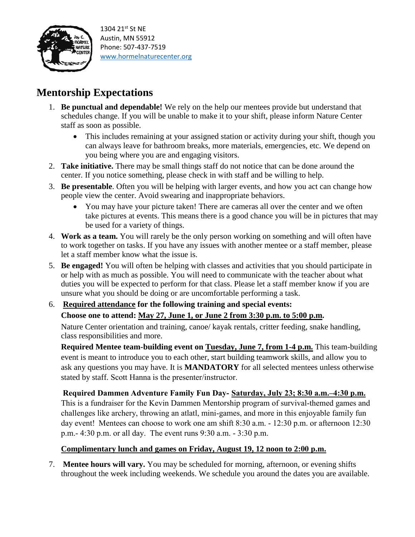

1304 21st St NE Austin, MN 55912 Phone: 507-437-7519 [www.hormelnaturecenter.org](http://www.hormelnaturecenter.org/)

## **Mentorship Expectations**

- 1. **Be punctual and dependable!** We rely on the help our mentees provide but understand that schedules change. If you will be unable to make it to your shift, please inform Nature Center staff as soon as possible.
	- This includes remaining at your assigned station or activity during your shift, though you can always leave for bathroom breaks, more materials, emergencies, etc. We depend on you being where you are and engaging visitors.
- 2. **Take initiative.** There may be small things staff do not notice that can be done around the center. If you notice something, please check in with staff and be willing to help.
- 3. **Be presentable**. Often you will be helping with larger events, and how you act can change how people view the center. Avoid swearing and inappropriate behaviors.
	- You may have your picture taken! There are cameras all over the center and we often take pictures at events. This means there is a good chance you will be in pictures that may be used for a variety of things.
- 4. **Work as a team.** You will rarely be the only person working on something and will often have to work together on tasks. If you have any issues with another mentee or a staff member, please let a staff member know what the issue is.
- 5. **Be engaged!** You will often be helping with classes and activities that you should participate in or help with as much as possible. You will need to communicate with the teacher about what duties you will be expected to perform for that class. Please let a staff member know if you are unsure what you should be doing or are uncomfortable performing a task.

#### 6. **Required attendance for the following training and special events: Choose one to attend: May 27, June 1, or June 2 from 3:30 p.m. to 5:00 p.m.**

Nature Center orientation and training, canoe/ kayak rentals, critter feeding, snake handling, class responsibilities and more.

**Required Mentee team-building event on Tuesday, June 7, from 1-4 p.m.** This team-building event is meant to introduce you to each other, start building teamwork skills, and allow you to ask any questions you may have. It is **MANDATORY** for all selected mentees unless otherwise stated by staff. Scott Hanna is the presenter/instructor.

### **Required Dammen Adventure Family Fun Day- Saturday, July 23; 8:30 a.m.–4:30 p.m.**

This is a fundraiser for the Kevin Dammen Mentorship program of survival-themed games and challenges like archery, throwing an atlatl, mini-games, and more in this enjoyable family fun day event! Mentees can choose to work one am shift 8:30 a.m. - 12:30 p.m. or afternoon 12:30 p.m.- 4:30 p.m. or all day. The event runs 9:30 a.m. - 3:30 p.m.

### **Complimentary lunch and games on Friday, August 19, 12 noon to 2:00 p.m.**

7. **Mentee hours will vary.** You may be scheduled for morning, afternoon, or evening shifts throughout the week including weekends. We schedule you around the dates you are available.